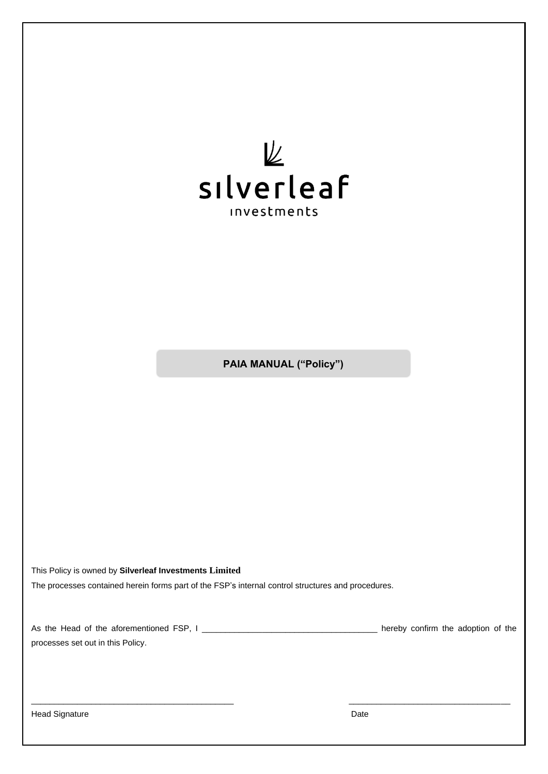

**PAIA MANUAL ("Policy")**

This Policy is owned by **Silverleaf Investments Limited**

The processes contained herein forms part of the FSP's internal control structures and procedures.

| As the Head of the aforementioned FSP, I | hereby confirm the adoption of the |  |
|------------------------------------------|------------------------------------|--|
| processes set out in this Policy.        |                                    |  |

 $\_$  , and the set of the set of the set of the set of the set of the set of the set of the set of the set of the set of the set of the set of the set of the set of the set of the set of the set of the set of the set of th

Head Signature Date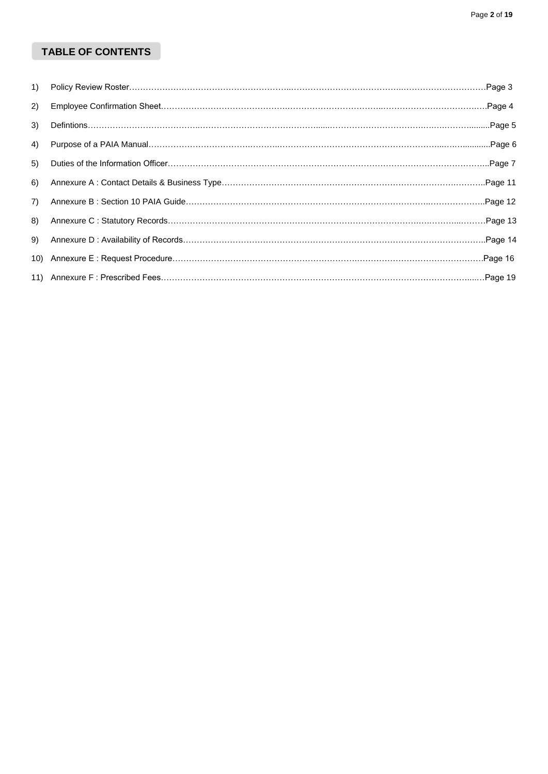# **TABLE OF CONTENTS**

| $\left( \begin{matrix} 1 \end{matrix} \right)$ |  |
|------------------------------------------------|--|
| 2)                                             |  |
| 3)                                             |  |
| 4)                                             |  |
| 5)                                             |  |
| 6)                                             |  |
| 7)                                             |  |
| 8)                                             |  |
| 9)                                             |  |
|                                                |  |
|                                                |  |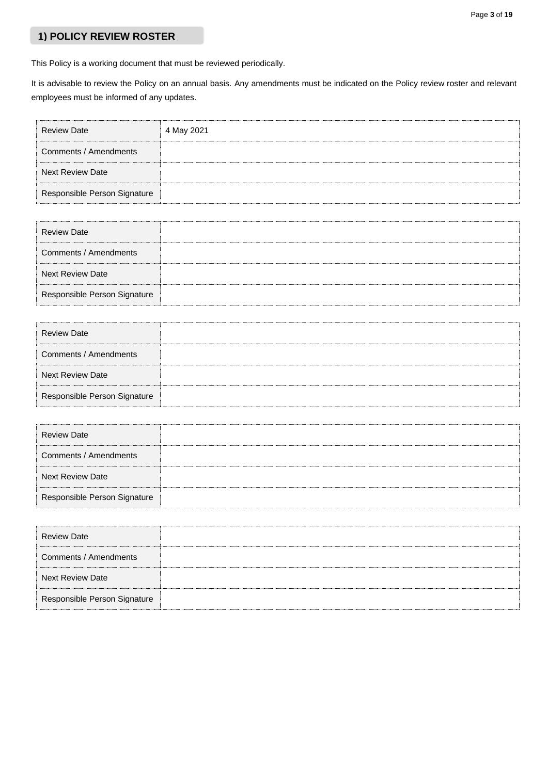## **1) POLICY REVIEW ROSTER**

This Policy is a working document that must be reviewed periodically.

It is advisable to review the Policy on an annual basis. Any amendments must be indicated on the Policy review roster and relevant employees must be informed of any updates.

| <b>Review Date</b>           | 4 May 2021 |
|------------------------------|------------|
| Comments / Amendments        |            |
| <b>Next Review Date</b>      |            |
| Responsible Person Signature |            |

| <b>Review Date</b>           |  |
|------------------------------|--|
| Comments / Amendments        |  |
| <b>Next Review Date</b>      |  |
| Responsible Person Signature |  |

| <b>Review Date</b>           |  |
|------------------------------|--|
| Comments / Amendments        |  |
| <b>Next Review Date</b>      |  |
| Responsible Person Signature |  |

| <b>Review Date</b>           |  |
|------------------------------|--|
| Comments / Amendments        |  |
| <b>Next Review Date</b>      |  |
| Responsible Person Signature |  |

| <b>Review Date</b>           |  |
|------------------------------|--|
| Comments / Amendments        |  |
| <b>Next Review Date</b>      |  |
| Responsible Person Signature |  |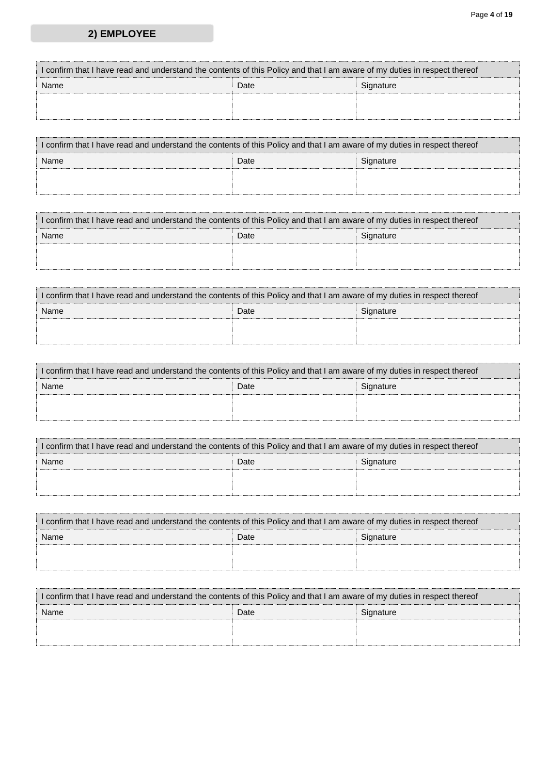#### Page **4** of **19**

# **2) EMPLOYEE**

| I confirm that I have read and understand the contents of this Policy and that I am aware of my duties in respect thereof |      |           |  |
|---------------------------------------------------------------------------------------------------------------------------|------|-----------|--|
| Name                                                                                                                      | Date | Signature |  |
|                                                                                                                           |      |           |  |
|                                                                                                                           |      |           |  |

| I confirm that I have read and understand the contents of this Policy and that I am aware of my duties in respect thereof |                   |  |  |
|---------------------------------------------------------------------------------------------------------------------------|-------------------|--|--|
| Name                                                                                                                      | Date<br>Signature |  |  |
|                                                                                                                           |                   |  |  |
|                                                                                                                           |                   |  |  |

| I confirm that I have read and understand the contents of this Policy and that I am aware of my duties in respect thereof |  |  |  |
|---------------------------------------------------------------------------------------------------------------------------|--|--|--|
| Date<br>Name<br>Signature                                                                                                 |  |  |  |
|                                                                                                                           |  |  |  |
|                                                                                                                           |  |  |  |

| I confirm that I have read and understand the contents of this Policy and that I am aware of my duties in respect thereof |  |  |  |
|---------------------------------------------------------------------------------------------------------------------------|--|--|--|
| Date<br>Name<br>Signature                                                                                                 |  |  |  |
|                                                                                                                           |  |  |  |
|                                                                                                                           |  |  |  |

| I confirm that I have read and understand the contents of this Policy and that I am aware of my duties in respect thereof |  |  |  |  |
|---------------------------------------------------------------------------------------------------------------------------|--|--|--|--|
| Date<br>Name<br>Signature                                                                                                 |  |  |  |  |
|                                                                                                                           |  |  |  |  |
|                                                                                                                           |  |  |  |  |

| I confirm that I have read and understand the contents of this Policy and that I am aware of my duties in respect thereof |      |           |
|---------------------------------------------------------------------------------------------------------------------------|------|-----------|
| Name                                                                                                                      | Date | Signature |
|                                                                                                                           |      |           |
|                                                                                                                           |      |           |

| I confirm that I have read and understand the contents of this Policy and that I am aware of my duties in respect thereof |      |           |
|---------------------------------------------------------------------------------------------------------------------------|------|-----------|
| Name                                                                                                                      | Date | Signature |
|                                                                                                                           |      |           |
|                                                                                                                           |      |           |

| I confirm that I have read and understand the contents of this Policy and that I am aware of my duties in respect thereof |      |           |
|---------------------------------------------------------------------------------------------------------------------------|------|-----------|
| Name                                                                                                                      | Date | Signature |
|                                                                                                                           |      |           |
|                                                                                                                           |      |           |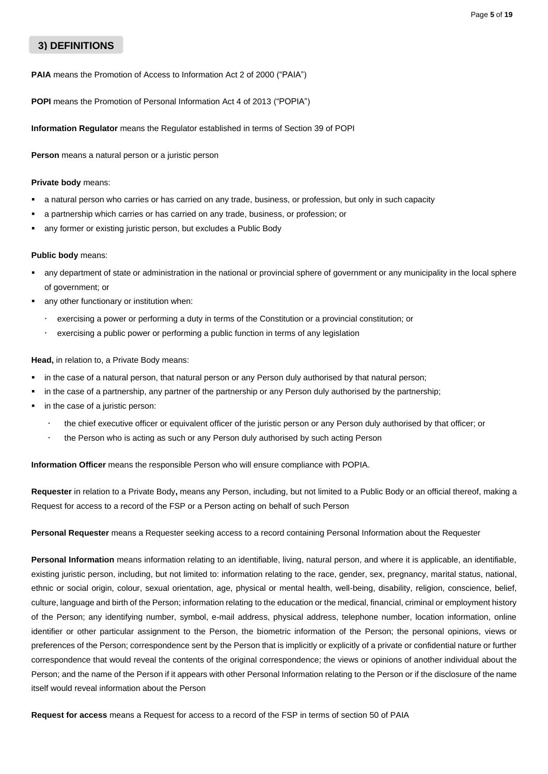## **3) DEFINITIONS**

**PAIA** means the Promotion of Access to Information Act 2 of 2000 ("PAIA")

**POPI** means the Promotion of Personal Information Act 4 of 2013 ("POPIA")

**Information Regulator** means the Regulator established in terms of Section 39 of POPI

**Person** means a natural person or a juristic person

#### **Private body** means:

- a natural person who carries or has carried on any trade, business, or profession, but only in such capacity
- a partnership which carries or has carried on any trade, business, or profession; or
- any former or existing juristic person, but excludes a Public Body

#### **Public body** means:

- any department of state or administration in the national or provincial sphere of government or any municipality in the local sphere of government; or
- any other functionary or institution when:
	- exercising a power or performing a duty in terms of the Constitution or a provincial constitution; or
	- exercising a public power or performing a public function in terms of any legislation

#### **Head,** in relation to, a Private Body means:

- in the case of a natural person, that natural person or any Person duly authorised by that natural person;
- in the case of a partnership, any partner of the partnership or any Person duly authorised by the partnership;
- in the case of a juristic person:
	- the chief executive officer or equivalent officer of the juristic person or any Person duly authorised by that officer; or
	- the Person who is acting as such or any Person duly authorised by such acting Person

**Information Officer** means the responsible Person who will ensure compliance with POPIA.

**Requester** in relation to a Private Body**,** means any Person, including, but not limited to a Public Body or an official thereof, making a Request for access to a record of the FSP or a Person acting on behalf of such Person

**Personal Requester** means a Requester seeking access to a record containing Personal Information about the Requester

**Personal Information** means information relating to an identifiable, living, natural person, and where it is applicable, an identifiable, existing juristic person, including, but not limited to: information relating to the race, gender, sex, pregnancy, marital status, national, ethnic or social origin, colour, sexual orientation, age, physical or mental health, well-being, disability, religion, conscience, belief, culture, language and birth of the Person; information relating to the education or the medical, financial, criminal or employment history of the Person; any identifying number, symbol, e-mail address, physical address, telephone number, location information, online identifier or other particular assignment to the Person, the biometric information of the Person; the personal opinions, views or preferences of the Person; correspondence sent by the Person that is implicitly or explicitly of a private or confidential nature or further correspondence that would reveal the contents of the original correspondence; the views or opinions of another individual about the Person; and the name of the Person if it appears with other Personal Information relating to the Person or if the disclosure of the name itself would reveal information about the Person

**Request for access** means a Request for access to a record of the FSP in terms of section 50 of PAIA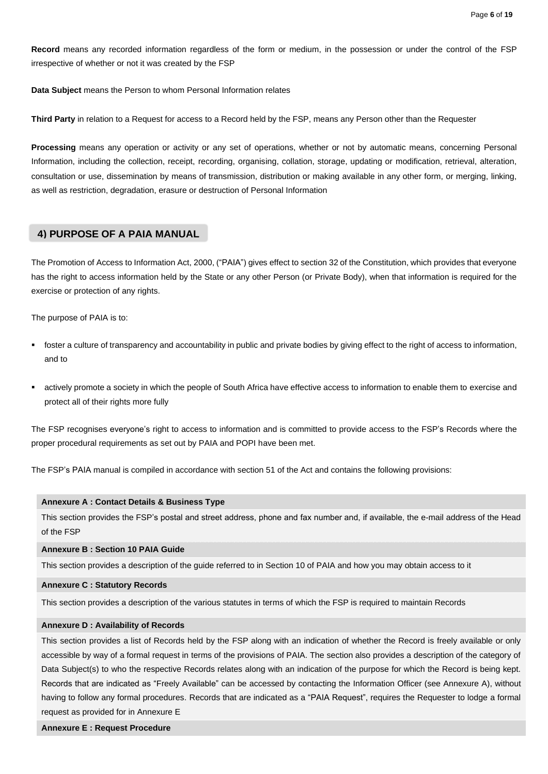**Record** means any recorded information regardless of the form or medium, in the possession or under the control of the FSP irrespective of whether or not it was created by the FSP

**Data Subject** means the Person to whom Personal Information relates

**Third Party** in relation to a Request for access to a Record held by the FSP, means any Person other than the Requester

**Processing** means any operation or activity or any set of operations, whether or not by automatic means, concerning Personal Information, including the collection, receipt, recording, organising, collation, storage, updating or modification, retrieval, alteration, consultation or use, dissemination by means of transmission, distribution or making available in any other form, or merging, linking, as well as restriction, degradation, erasure or destruction of Personal Information

## **4) PURPOSE OF A PAIA MANUAL**

The Promotion of Access to Information Act, 2000, ("PAIA") gives effect to section 32 of the Constitution, which provides that everyone has the right to access information held by the State or any other Person (or Private Body), when that information is required for the exercise or protection of any rights.

The purpose of PAIA is to:

- foster a culture of transparency and accountability in public and private bodies by giving effect to the right of access to information, and to
- actively promote a society in which the people of South Africa have effective access to information to enable them to exercise and protect all of their rights more fully

The FSP recognises everyone's right to access to information and is committed to provide access to the FSP's Records where the proper procedural requirements as set out by PAIA and POPI have been met.

The FSP's PAIA manual is compiled in accordance with section 51 of the Act and contains the following provisions:

#### **Annexure A : Contact Details & Business Type**

This section provides the FSP's postal and street address, phone and fax number and, if available, the e-mail address of the Head of the FSP

#### **Annexure B : Section 10 PAIA Guide**

This section provides a description of the guide referred to in Section 10 of PAIA and how you may obtain access to it

#### **Annexure C : Statutory Records**

This section provides a description of the various statutes in terms of which the FSP is required to maintain Records

#### **Annexure D : Availability of Records**

This section provides a list of Records held by the FSP along with an indication of whether the Record is freely available or only accessible by way of a formal request in terms of the provisions of PAIA. The section also provides a description of the category of Data Subject(s) to who the respective Records relates along with an indication of the purpose for which the Record is being kept. Records that are indicated as "Freely Available" can be accessed by contacting the Information Officer (see Annexure A), without having to follow any formal procedures. Records that are indicated as a "PAIA Request", requires the Requester to lodge a formal request as provided for in Annexure E

#### **Annexure E : Request Procedure**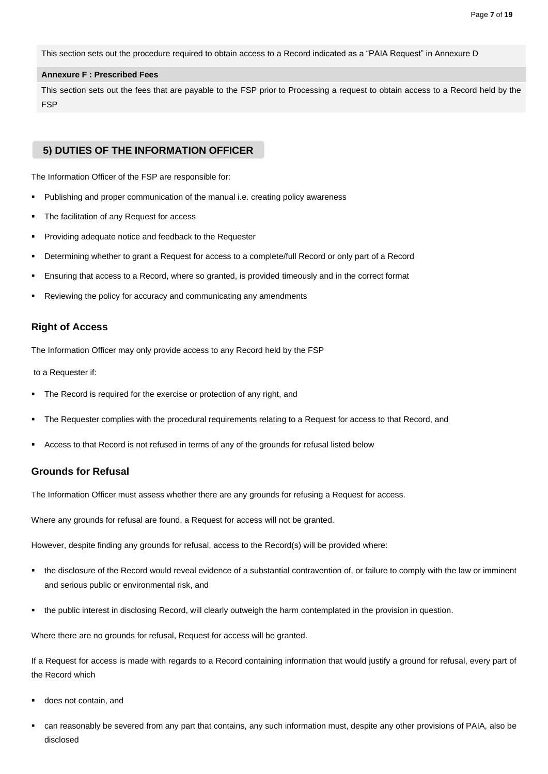This section sets out the procedure required to obtain access to a Record indicated as a "PAIA Request" in Annexure D

#### **Annexure F : Prescribed Fees**

This section sets out the fees that are payable to the FSP prior to Processing a request to obtain access to a Record held by the FSP

## **5) DUTIES OF THE INFORMATION OFFICER**

The Information Officer of the FSP are responsible for:

- Publishing and proper communication of the manual i.e. creating policy awareness
- The facilitation of any Request for access
- Providing adequate notice and feedback to the Requester
- Determining whether to grant a Request for access to a complete/full Record or only part of a Record
- Ensuring that access to a Record, where so granted, is provided timeously and in the correct format
- Reviewing the policy for accuracy and communicating any amendments

## **Right of Access**

The Information Officer may only provide access to any Record held by the FSP

to a Requester if:

- The Record is required for the exercise or protection of any right, and
- The Requester complies with the procedural requirements relating to a Request for access to that Record, and
- Access to that Record is not refused in terms of any of the grounds for refusal listed below

### **Grounds for Refusal**

The Information Officer must assess whether there are any grounds for refusing a Request for access.

Where any grounds for refusal are found, a Request for access will not be granted.

However, despite finding any grounds for refusal, access to the Record(s) will be provided where:

- the disclosure of the Record would reveal evidence of a substantial contravention of, or failure to comply with the law or imminent and serious public or environmental risk, and
- the public interest in disclosing Record, will clearly outweigh the harm contemplated in the provision in question.

Where there are no grounds for refusal, Request for access will be granted.

If a Request for access is made with regards to a Record containing information that would justify a ground for refusal, every part of the Record which

- does not contain, and
- can reasonably be severed from any part that contains, any such information must, despite any other provisions of PAIA, also be disclosed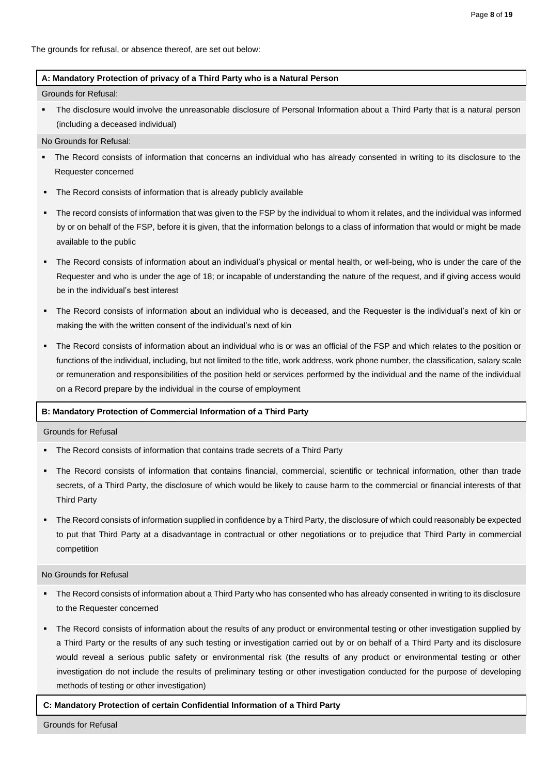The grounds for refusal, or absence thereof, are set out below:

### **A: Mandatory Protection of privacy of a Third Party who is a Natural Person**

Grounds for Refusal:

The disclosure would involve the unreasonable disclosure of Personal Information about a Third Party that is a natural person (including a deceased individual)

#### No Grounds for Refusal:

- The Record consists of information that concerns an individual who has already consented in writing to its disclosure to the Requester concerned
- The Record consists of information that is already publicly available
- The record consists of information that was given to the FSP by the individual to whom it relates, and the individual was informed by or on behalf of the FSP, before it is given, that the information belongs to a class of information that would or might be made available to the public
- The Record consists of information about an individual's physical or mental health, or well-being, who is under the care of the Requester and who is under the age of 18; or incapable of understanding the nature of the request, and if giving access would be in the individual's best interest
- The Record consists of information about an individual who is deceased, and the Requester is the individual's next of kin or making the with the written consent of the individual's next of kin
- The Record consists of information about an individual who is or was an official of the FSP and which relates to the position or functions of the individual, including, but not limited to the title, work address, work phone number, the classification, salary scale or remuneration and responsibilities of the position held or services performed by the individual and the name of the individual on a Record prepare by the individual in the course of employment

### **B: Mandatory Protection of Commercial Information of a Third Party**

Grounds for Refusal

- The Record consists of information that contains trade secrets of a Third Party
- The Record consists of information that contains financial, commercial, scientific or technical information, other than trade secrets, of a Third Party, the disclosure of which would be likely to cause harm to the commercial or financial interests of that Third Party
- The Record consists of information supplied in confidence by a Third Party, the disclosure of which could reasonably be expected to put that Third Party at a disadvantage in contractual or other negotiations or to prejudice that Third Party in commercial competition

#### No Grounds for Refusal

- The Record consists of information about a Third Party who has consented who has already consented in writing to its disclosure to the Requester concerned
- The Record consists of information about the results of any product or environmental testing or other investigation supplied by a Third Party or the results of any such testing or investigation carried out by or on behalf of a Third Party and its disclosure would reveal a serious public safety or environmental risk (the results of any product or environmental testing or other investigation do not include the results of preliminary testing or other investigation conducted for the purpose of developing methods of testing or other investigation)

#### **C: Mandatory Protection of certain Confidential Information of a Third Party**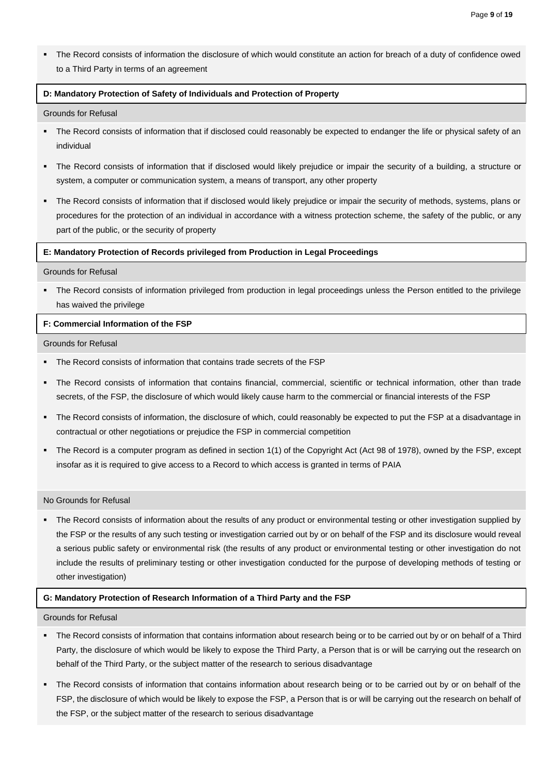▪ The Record consists of information the disclosure of which would constitute an action for breach of a duty of confidence owed to a Third Party in terms of an agreement

#### **D: Mandatory Protection of Safety of Individuals and Protection of Property**

#### Grounds for Refusal

- The Record consists of information that if disclosed could reasonably be expected to endanger the life or physical safety of an individual
- The Record consists of information that if disclosed would likely prejudice or impair the security of a building, a structure or system, a computer or communication system, a means of transport, any other property
- The Record consists of information that if disclosed would likely prejudice or impair the security of methods, systems, plans or procedures for the protection of an individual in accordance with a witness protection scheme, the safety of the public, or any part of the public, or the security of property

#### **E: Mandatory Protection of Records privileged from Production in Legal Proceedings**

#### Grounds for Refusal

The Record consists of information privileged from production in legal proceedings unless the Person entitled to the privilege has waived the privilege

### **F: Commercial Information of the FSP**

#### Grounds for Refusal

- The Record consists of information that contains trade secrets of the FSP
- The Record consists of information that contains financial, commercial, scientific or technical information, other than trade secrets, of the FSP, the disclosure of which would likely cause harm to the commercial or financial interests of the FSP
- The Record consists of information, the disclosure of which, could reasonably be expected to put the FSP at a disadvantage in contractual or other negotiations or prejudice the FSP in commercial competition
- The Record is a computer program as defined in section 1(1) of the Copyright Act (Act 98 of 1978), owned by the FSP, except insofar as it is required to give access to a Record to which access is granted in terms of PAIA

### No Grounds for Refusal

The Record consists of information about the results of any product or environmental testing or other investigation supplied by the FSP or the results of any such testing or investigation carried out by or on behalf of the FSP and its disclosure would reveal a serious public safety or environmental risk (the results of any product or environmental testing or other investigation do not include the results of preliminary testing or other investigation conducted for the purpose of developing methods of testing or other investigation)

#### **G: Mandatory Protection of Research Information of a Third Party and the FSP**

### Grounds for Refusal

- The Record consists of information that contains information about research being or to be carried out by or on behalf of a Third Party, the disclosure of which would be likely to expose the Third Party, a Person that is or will be carrying out the research on behalf of the Third Party, or the subject matter of the research to serious disadvantage
- The Record consists of information that contains information about research being or to be carried out by or on behalf of the FSP, the disclosure of which would be likely to expose the FSP, a Person that is or will be carrying out the research on behalf of the FSP, or the subject matter of the research to serious disadvantage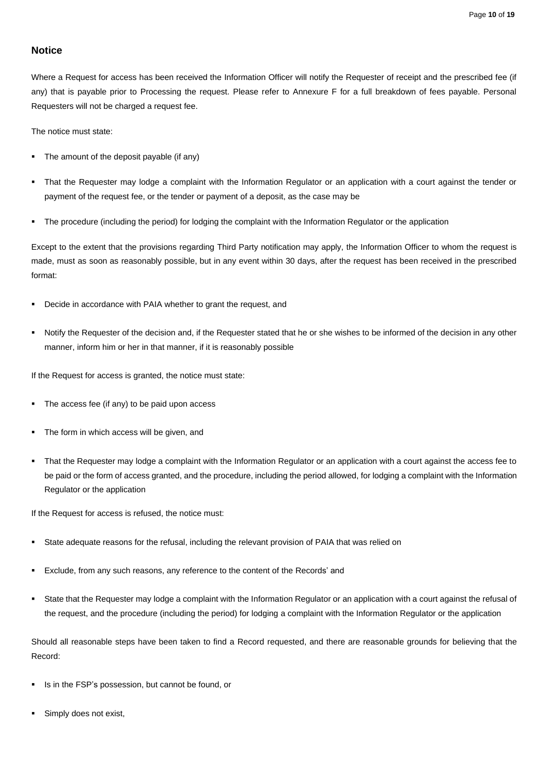## **Notice**

Where a Request for access has been received the Information Officer will notify the Requester of receipt and the prescribed fee (if any) that is payable prior to Processing the request. Please refer to Annexure F for a full breakdown of fees payable. Personal Requesters will not be charged a request fee.

The notice must state:

- The amount of the deposit payable (if any)
- That the Requester may lodge a complaint with the Information Regulator or an application with a court against the tender or payment of the request fee, or the tender or payment of a deposit, as the case may be
- The procedure (including the period) for lodging the complaint with the Information Regulator or the application

Except to the extent that the provisions regarding Third Party notification may apply, the Information Officer to whom the request is made, must as soon as reasonably possible, but in any event within 30 days, after the request has been received in the prescribed format:

- Decide in accordance with PAIA whether to grant the request, and
- Notify the Requester of the decision and, if the Requester stated that he or she wishes to be informed of the decision in any other manner, inform him or her in that manner, if it is reasonably possible

If the Request for access is granted, the notice must state:

- The access fee (if any) to be paid upon access
- The form in which access will be given, and
- That the Requester may lodge a complaint with the Information Regulator or an application with a court against the access fee to be paid or the form of access granted, and the procedure, including the period allowed, for lodging a complaint with the Information Regulator or the application

If the Request for access is refused, the notice must:

- State adequate reasons for the refusal, including the relevant provision of PAIA that was relied on
- Exclude, from any such reasons, any reference to the content of the Records' and
- State that the Requester may lodge a complaint with the Information Regulator or an application with a court against the refusal of the request, and the procedure (including the period) for lodging a complaint with the Information Regulator or the application

Should all reasonable steps have been taken to find a Record requested, and there are reasonable grounds for believing that the Record:

- Is in the FSP's possession, but cannot be found, or
- Simply does not exist,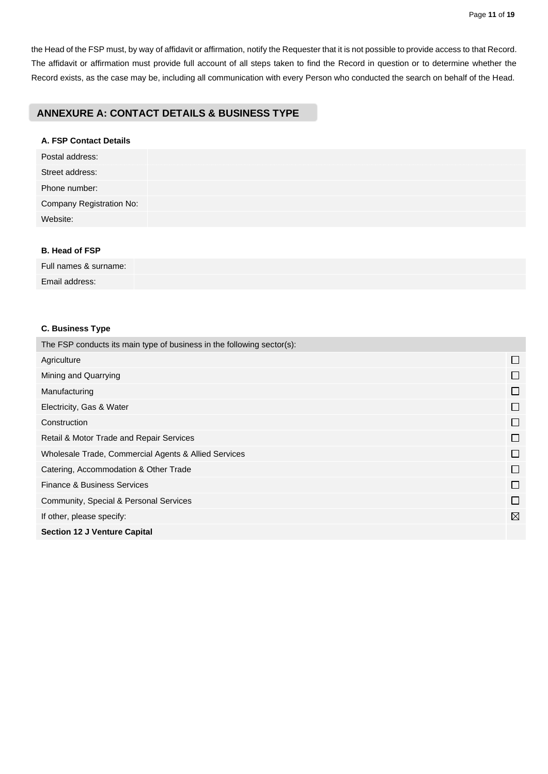the Head of the FSP must, by way of affidavit or affirmation, notify the Requester that it is not possible to provide access to that Record. The affidavit or affirmation must provide full account of all steps taken to find the Record in question or to determine whether the Record exists, as the case may be, including all communication with every Person who conducted the search on behalf of the Head.

## **ANNEXURE A: CONTACT DETAILS & BUSINESS TYPE**

## **A. FSP Contact Details**

| Postal address:          |  |
|--------------------------|--|
| Street address:          |  |
| Phone number:            |  |
| Company Registration No: |  |
| Website:                 |  |
|                          |  |

### **B. Head of FSP**

Full names & surname: Email address:

## **C. Business Type**

| The FSP conducts its main type of business in the following sector(s): |                             |
|------------------------------------------------------------------------|-----------------------------|
| Agriculture                                                            | $\mathbf{I}$                |
| Mining and Quarrying                                                   |                             |
| Manufacturing                                                          |                             |
| Electricity, Gas & Water                                               |                             |
| Construction                                                           | $\Box$                      |
| Retail & Motor Trade and Repair Services                               | $\Box$                      |
| Wholesale Trade, Commercial Agents & Allied Services                   | <b>Tara</b>                 |
| Catering, Accommodation & Other Trade                                  | П                           |
| Finance & Business Services                                            | $\Box$                      |
| Community, Special & Personal Services                                 | $\mathcal{L}_{\mathcal{A}}$ |
| If other, please specify:                                              | $\boxtimes$                 |
| <b>Section 12 J Venture Capital</b>                                    |                             |
|                                                                        |                             |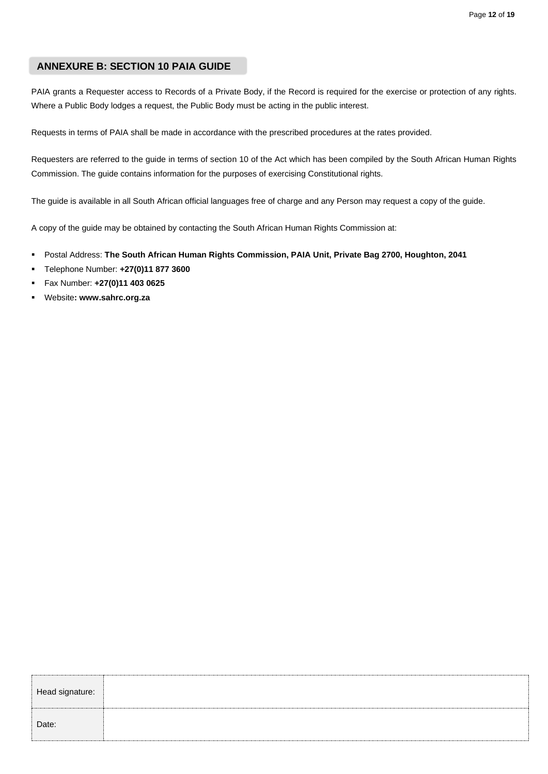## **ANNEXURE B: SECTION 10 PAIA GUIDE**

PAIA grants a Requester access to Records of a Private Body, if the Record is required for the exercise or protection of any rights. Where a Public Body lodges a request, the Public Body must be acting in the public interest.

Requests in terms of PAIA shall be made in accordance with the prescribed procedures at the rates provided.

Requesters are referred to the guide in terms of section 10 of the Act which has been compiled by the South African Human Rights Commission. The guide contains information for the purposes of exercising Constitutional rights.

The guide is available in all South African official languages free of charge and any Person may request a copy of the guide.

A copy of the guide may be obtained by contacting the South African Human Rights Commission at:

- Postal Address: **The South African Human Rights Commission, PAIA Unit, Private Bag 2700, Houghton, 2041**
- Telephone Number: **+27(0)11 877 3600**
- Fax Number: **+27(0)11 403 0625**
- Website**: www.sahrc.org.za**

| Head signature: |  |
|-----------------|--|
| Date:           |  |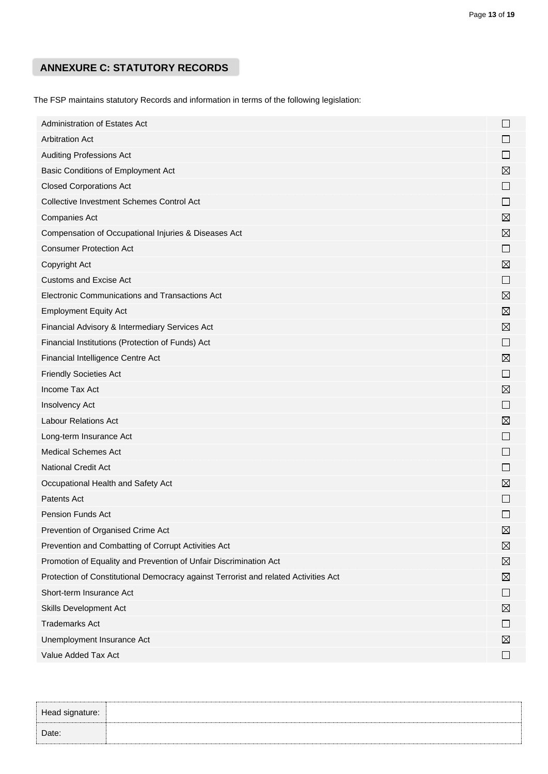# **ANNEXURE C: STATUTORY RECORDS**

The FSP maintains statutory Records and information in terms of the following legislation:

| Administration of Estates Act                                                       | $\Box$       |
|-------------------------------------------------------------------------------------|--------------|
| <b>Arbitration Act</b>                                                              | $\mathbf{L}$ |
| <b>Auditing Professions Act</b>                                                     |              |
| Basic Conditions of Employment Act                                                  | ⊠            |
| <b>Closed Corporations Act</b>                                                      | $\mathbf{L}$ |
| <b>Collective Investment Schemes Control Act</b>                                    | $\mathbf{L}$ |
| Companies Act                                                                       | ⊠            |
| Compensation of Occupational Injuries & Diseases Act                                | ⊠            |
| <b>Consumer Protection Act</b>                                                      | $\Box$       |
| Copyright Act                                                                       | ⊠            |
| <b>Customs and Excise Act</b>                                                       | $\Box$       |
| Electronic Communications and Transactions Act                                      | ⊠            |
| <b>Employment Equity Act</b>                                                        | ⊠            |
| Financial Advisory & Intermediary Services Act                                      | ⊠            |
| Financial Institutions (Protection of Funds) Act                                    | $\Box$       |
| Financial Intelligence Centre Act                                                   | ⊠            |
| <b>Friendly Societies Act</b>                                                       | $\Box$       |
| Income Tax Act                                                                      | ⊠            |
| Insolvency Act                                                                      | $\mathsf{L}$ |
| <b>Labour Relations Act</b>                                                         | ⊠            |
| Long-term Insurance Act                                                             | $\Box$       |
| <b>Medical Schemes Act</b>                                                          | $\Box$       |
| <b>National Credit Act</b>                                                          | $\mathbf{L}$ |
| Occupational Health and Safety Act                                                  | ⊠            |
| <b>Patents Act</b>                                                                  | $\mathsf{L}$ |
| Pension Funds Act                                                                   | $\Box$       |
| Prevention of Organised Crime Act                                                   | ⊠            |
| Prevention and Combatting of Corrupt Activities Act                                 | ⊠            |
| Promotion of Equality and Prevention of Unfair Discrimination Act                   | ⊠            |
| Protection of Constitutional Democracy against Terrorist and related Activities Act | ⊠            |
| Short-term Insurance Act                                                            | □            |
| Skills Development Act                                                              | ⊠            |
| <b>Trademarks Act</b>                                                               | ப            |
| Unemployment Insurance Act                                                          | ⊠            |
| Value Added Tax Act                                                                 | ப            |

| Date: | Head signature: |  |  |
|-------|-----------------|--|--|
|       |                 |  |  |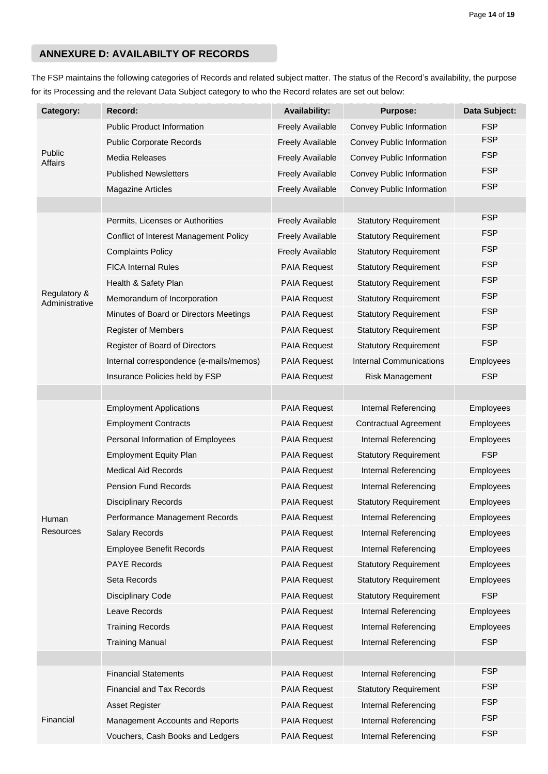## **ANNEXURE D: AVAILABILTY OF RECORDS**

The FSP maintains the following categories of Records and related subject matter. The status of the Record's availability, the purpose for its Processing and the relevant Data Subject category to who the Record relates are set out below:

| Category:                      | Record:                                 | <b>Availability:</b>    | <b>Purpose:</b>                | Data Subject:    |
|--------------------------------|-----------------------------------------|-------------------------|--------------------------------|------------------|
|                                | <b>Public Product Information</b>       | <b>Freely Available</b> | Convey Public Information      | <b>FSP</b>       |
|                                | <b>Public Corporate Records</b>         | <b>Freely Available</b> | Convey Public Information      | <b>FSP</b>       |
| Public<br>Affairs              | Media Releases                          | <b>Freely Available</b> | Convey Public Information      | <b>FSP</b>       |
|                                | <b>Published Newsletters</b>            | <b>Freely Available</b> | Convey Public Information      | <b>FSP</b>       |
|                                | <b>Magazine Articles</b>                | <b>Freely Available</b> | Convey Public Information      | <b>FSP</b>       |
|                                |                                         |                         |                                |                  |
|                                | Permits, Licenses or Authorities        | <b>Freely Available</b> | <b>Statutory Requirement</b>   | <b>FSP</b>       |
|                                | Conflict of Interest Management Policy  | <b>Freely Available</b> | <b>Statutory Requirement</b>   | <b>FSP</b>       |
|                                | <b>Complaints Policy</b>                | <b>Freely Available</b> | <b>Statutory Requirement</b>   | <b>FSP</b>       |
|                                | <b>FICA Internal Rules</b>              | <b>PAIA Request</b>     | <b>Statutory Requirement</b>   | <b>FSP</b>       |
|                                | Health & Safety Plan                    | <b>PAIA Request</b>     | <b>Statutory Requirement</b>   | <b>FSP</b>       |
| Regulatory &<br>Administrative | Memorandum of Incorporation             | <b>PAIA Request</b>     | <b>Statutory Requirement</b>   | <b>FSP</b>       |
|                                | Minutes of Board or Directors Meetings  | <b>PAIA Request</b>     | <b>Statutory Requirement</b>   | <b>FSP</b>       |
|                                | <b>Register of Members</b>              | <b>PAIA Request</b>     | <b>Statutory Requirement</b>   | <b>FSP</b>       |
|                                | Register of Board of Directors          | <b>PAIA Request</b>     | <b>Statutory Requirement</b>   | <b>FSP</b>       |
|                                | Internal correspondence (e-mails/memos) | <b>PAIA Request</b>     | <b>Internal Communications</b> | Employees        |
|                                | Insurance Policies held by FSP          | <b>PAIA Request</b>     | <b>Risk Management</b>         | <b>FSP</b>       |
|                                |                                         |                         |                                |                  |
|                                | <b>Employment Applications</b>          | <b>PAIA Request</b>     | Internal Referencing           | Employees        |
|                                | <b>Employment Contracts</b>             | <b>PAIA Request</b>     | <b>Contractual Agreement</b>   | Employees        |
|                                | Personal Information of Employees       | <b>PAIA Request</b>     | Internal Referencing           | Employees        |
|                                | <b>Employment Equity Plan</b>           | <b>PAIA Request</b>     | <b>Statutory Requirement</b>   | <b>FSP</b>       |
|                                | <b>Medical Aid Records</b>              | <b>PAIA Request</b>     | Internal Referencing           | Employees        |
|                                | <b>Pension Fund Records</b>             | <b>PAIA Request</b>     | Internal Referencing           | Employees        |
|                                | <b>Disciplinary Records</b>             | <b>PAIA Request</b>     | <b>Statutory Requirement</b>   | Employees        |
| Human                          | Performance Management Records          | PAIA Request            | Internal Referencing           | Employees        |
| Resources                      | <b>Salary Records</b>                   | <b>PAIA Request</b>     | Internal Referencing           | Employees        |
|                                | <b>Employee Benefit Records</b>         | <b>PAIA Request</b>     | Internal Referencing           | Employees        |
|                                | <b>PAYE Records</b>                     | <b>PAIA Request</b>     | <b>Statutory Requirement</b>   | <b>Employees</b> |
|                                | Seta Records                            | <b>PAIA Request</b>     | <b>Statutory Requirement</b>   | Employees        |
|                                | <b>Disciplinary Code</b>                | <b>PAIA Request</b>     | <b>Statutory Requirement</b>   | <b>FSP</b>       |
|                                | Leave Records                           | <b>PAIA Request</b>     | Internal Referencing           | Employees        |
|                                | <b>Training Records</b>                 | PAIA Request            | Internal Referencing           | Employees        |
|                                | <b>Training Manual</b>                  | <b>PAIA Request</b>     | Internal Referencing           | <b>FSP</b>       |
|                                |                                         |                         |                                |                  |
|                                | <b>Financial Statements</b>             | <b>PAIA Request</b>     | Internal Referencing           | <b>FSP</b>       |
|                                | <b>Financial and Tax Records</b>        | <b>PAIA Request</b>     | <b>Statutory Requirement</b>   | <b>FSP</b>       |
|                                | Asset Register                          | <b>PAIA Request</b>     | Internal Referencing           | <b>FSP</b>       |
| Financial                      | Management Accounts and Reports         | <b>PAIA Request</b>     | Internal Referencing           | <b>FSP</b>       |
|                                | Vouchers, Cash Books and Ledgers        | <b>PAIA Request</b>     | Internal Referencing           | <b>FSP</b>       |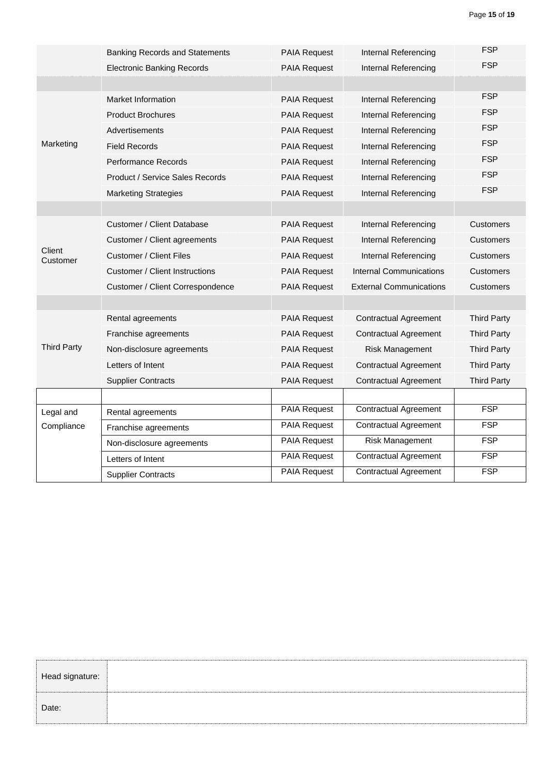|                    | <b>Banking Records and Statements</b> | <b>PAIA Request</b> | Internal Referencing           | <b>FSP</b>         |
|--------------------|---------------------------------------|---------------------|--------------------------------|--------------------|
|                    | <b>Electronic Banking Records</b>     | <b>PAIA Request</b> | <b>Internal Referencing</b>    | <b>FSP</b>         |
|                    |                                       |                     |                                |                    |
|                    | Market Information                    | PAIA Request        | Internal Referencing           | <b>FSP</b>         |
|                    | <b>Product Brochures</b>              | <b>PAIA Request</b> | Internal Referencing           | <b>FSP</b>         |
|                    | Advertisements                        | <b>PAIA Request</b> | Internal Referencing           | <b>FSP</b>         |
| Marketing          | <b>Field Records</b>                  | <b>PAIA Request</b> | Internal Referencing           | <b>FSP</b>         |
|                    | <b>Performance Records</b>            | PAIA Request        | Internal Referencing           | <b>FSP</b>         |
|                    | Product / Service Sales Records       | <b>PAIA Request</b> | Internal Referencing           | <b>FSP</b>         |
|                    | <b>Marketing Strategies</b>           | <b>PAIA Request</b> | Internal Referencing           | <b>FSP</b>         |
|                    |                                       |                     |                                |                    |
|                    | Customer / Client Database            | <b>PAIA Request</b> | Internal Referencing           | <b>Customers</b>   |
|                    | Customer / Client agreements          | <b>PAIA Request</b> | Internal Referencing           | Customers          |
| Client<br>Customer | <b>Customer / Client Files</b>        | PAIA Request        | Internal Referencing           | <b>Customers</b>   |
|                    | Customer / Client Instructions        | <b>PAIA Request</b> | <b>Internal Communications</b> | Customers          |
|                    | Customer / Client Correspondence      | <b>PAIA Request</b> | <b>External Communications</b> | Customers          |
|                    |                                       |                     |                                |                    |
|                    | Rental agreements                     | <b>PAIA Request</b> | <b>Contractual Agreement</b>   | <b>Third Party</b> |
|                    | Franchise agreements                  | PAIA Request        | <b>Contractual Agreement</b>   | <b>Third Party</b> |
| <b>Third Party</b> | Non-disclosure agreements             | <b>PAIA Request</b> | <b>Risk Management</b>         | <b>Third Party</b> |
|                    | Letters of Intent                     | <b>PAIA Request</b> | <b>Contractual Agreement</b>   | <b>Third Party</b> |
|                    | <b>Supplier Contracts</b>             | <b>PAIA Request</b> | <b>Contractual Agreement</b>   | <b>Third Party</b> |
|                    |                                       |                     |                                |                    |
| Legal and          | Rental agreements                     | <b>PAIA Request</b> | <b>Contractual Agreement</b>   | <b>FSP</b>         |
| Compliance         | Franchise agreements                  | <b>PAIA Request</b> | <b>Contractual Agreement</b>   | FSP                |
|                    | Non-disclosure agreements             | <b>PAIA Request</b> | Risk Management                | <b>FSP</b>         |
|                    | Letters of Intent                     | <b>PAIA Request</b> | <b>Contractual Agreement</b>   | FSP                |
|                    | <b>Supplier Contracts</b>             | PAIA Request        | <b>Contractual Agreement</b>   | FSP                |

| Head signature: |  |
|-----------------|--|
| Date:           |  |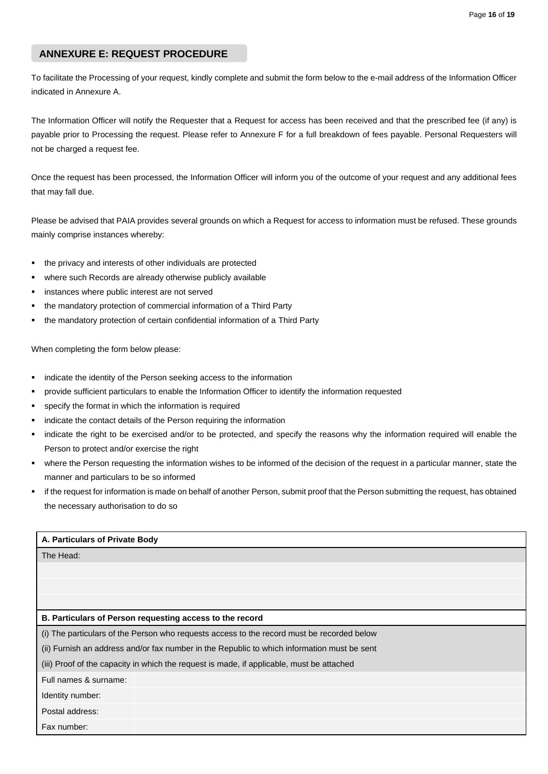## **ANNEXURE E: REQUEST PROCEDURE**

To facilitate the Processing of your request, kindly complete and submit the form below to the e-mail address of the Information Officer indicated in Annexure A.

The Information Officer will notify the Requester that a Request for access has been received and that the prescribed fee (if any) is payable prior to Processing the request. Please refer to Annexure F for a full breakdown of fees payable. Personal Requesters will not be charged a request fee.

Once the request has been processed, the Information Officer will inform you of the outcome of your request and any additional fees that may fall due.

Please be advised that PAIA provides several grounds on which a Request for access to information must be refused. These grounds mainly comprise instances whereby:

- the privacy and interests of other individuals are protected
- where such Records are already otherwise publicly available
- instances where public interest are not served
- the mandatory protection of commercial information of a Third Party
- the mandatory protection of certain confidential information of a Third Party

When completing the form below please:

- indicate the identity of the Person seeking access to the information
- provide sufficient particulars to enable the Information Officer to identify the information requested
- specify the format in which the information is required
- indicate the contact details of the Person requiring the information
- indicate the right to be exercised and/or to be protected, and specify the reasons why the information required will enable the Person to protect and/or exercise the right
- where the Person requesting the information wishes to be informed of the decision of the request in a particular manner, state the manner and particulars to be so informed
- if the request for information is made on behalf of another Person, submit proof that the Person submitting the request, has obtained the necessary authorisation to do so

| A. Particulars of Private Body                                                              |                                                                                            |  |  |
|---------------------------------------------------------------------------------------------|--------------------------------------------------------------------------------------------|--|--|
| The Head:                                                                                   |                                                                                            |  |  |
|                                                                                             |                                                                                            |  |  |
|                                                                                             |                                                                                            |  |  |
|                                                                                             |                                                                                            |  |  |
|                                                                                             | B. Particulars of Person requesting access to the record                                   |  |  |
|                                                                                             | (i) The particulars of the Person who requests access to the record must be recorded below |  |  |
| (ii) Furnish an address and/or fax number in the Republic to which information must be sent |                                                                                            |  |  |
|                                                                                             | (iii) Proof of the capacity in which the request is made, if applicable, must be attached  |  |  |
| Full names & surname:                                                                       |                                                                                            |  |  |
| Identity number:                                                                            |                                                                                            |  |  |
| Postal address:                                                                             |                                                                                            |  |  |
| Fax number:                                                                                 |                                                                                            |  |  |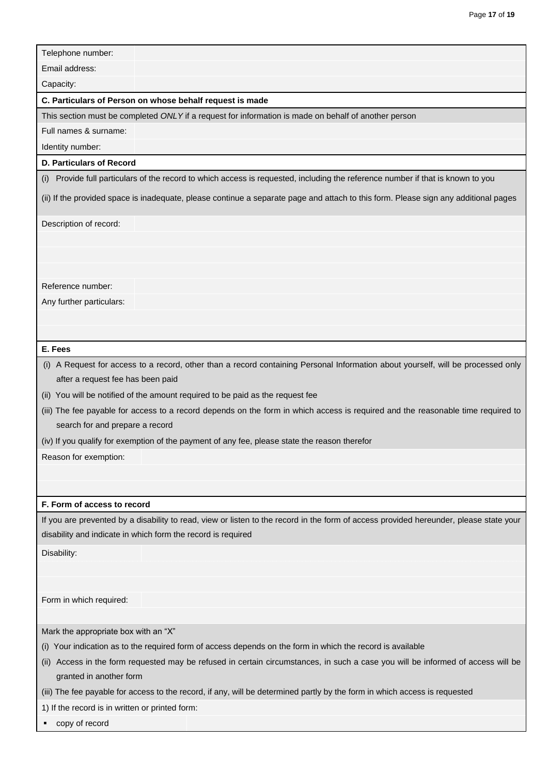| Telephone number:                                                              |                                                                                                                                        |
|--------------------------------------------------------------------------------|----------------------------------------------------------------------------------------------------------------------------------------|
| Email address:                                                                 |                                                                                                                                        |
| Capacity:                                                                      |                                                                                                                                        |
| C. Particulars of Person on whose behalf request is made                       |                                                                                                                                        |
|                                                                                | This section must be completed ONLY if a request for information is made on behalf of another person                                   |
| Full names & surname:                                                          |                                                                                                                                        |
| Identity number:                                                               |                                                                                                                                        |
| <b>D. Particulars of Record</b>                                                |                                                                                                                                        |
|                                                                                | (i) Provide full particulars of the record to which access is requested, including the reference number if that is known to you        |
|                                                                                | (ii) If the provided space is inadequate, please continue a separate page and attach to this form. Please sign any additional pages    |
| Description of record:                                                         |                                                                                                                                        |
|                                                                                |                                                                                                                                        |
|                                                                                |                                                                                                                                        |
|                                                                                |                                                                                                                                        |
| Reference number:                                                              |                                                                                                                                        |
| Any further particulars:                                                       |                                                                                                                                        |
|                                                                                |                                                                                                                                        |
|                                                                                |                                                                                                                                        |
| E. Fees                                                                        |                                                                                                                                        |
|                                                                                | (i) A Request for access to a record, other than a record containing Personal Information about yourself, will be processed only       |
| after a request fee has been paid                                              |                                                                                                                                        |
| (ii) You will be notified of the amount required to be paid as the request fee |                                                                                                                                        |
|                                                                                | (iii) The fee payable for access to a record depends on the form in which access is required and the reasonable time required to       |
| search for and prepare a record                                                |                                                                                                                                        |
|                                                                                | (iv) If you qualify for exemption of the payment of any fee, please state the reason therefor                                          |
| Reason for exemption:                                                          |                                                                                                                                        |
|                                                                                |                                                                                                                                        |
|                                                                                |                                                                                                                                        |
| F. Form of access to record                                                    |                                                                                                                                        |
| disability and indicate in which form the record is required                   | If you are prevented by a disability to read, view or listen to the record in the form of access provided hereunder, please state your |
|                                                                                |                                                                                                                                        |
| Disability:                                                                    |                                                                                                                                        |
|                                                                                |                                                                                                                                        |
|                                                                                |                                                                                                                                        |
| Form in which required:                                                        |                                                                                                                                        |
|                                                                                |                                                                                                                                        |
| Mark the appropriate box with an "X"                                           |                                                                                                                                        |
|                                                                                | (i) Your indication as to the required form of access depends on the form in which the record is available                             |
| (ii)<br>granted in another form                                                | Access in the form requested may be refused in certain circumstances, in such a case you will be informed of access will be            |
|                                                                                | (iii) The fee payable for access to the record, if any, will be determined partly by the form in which access is requested             |
|                                                                                |                                                                                                                                        |
| 1) If the record is in written or printed form:                                |                                                                                                                                        |

■ copy of record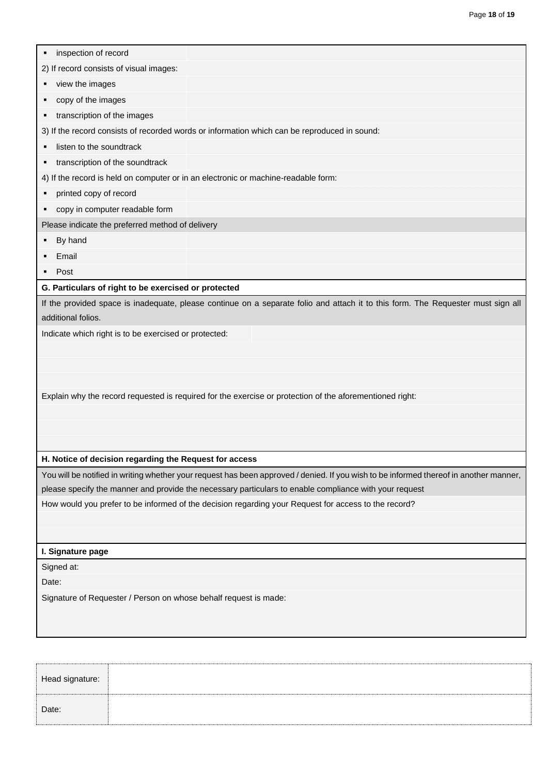| inspection of record<br>2) If record consists of visual images:<br>view the images<br>copy of the images                                                                                                                                                                                                                    |                                                                                                                                        |  |  |
|-----------------------------------------------------------------------------------------------------------------------------------------------------------------------------------------------------------------------------------------------------------------------------------------------------------------------------|----------------------------------------------------------------------------------------------------------------------------------------|--|--|
|                                                                                                                                                                                                                                                                                                                             |                                                                                                                                        |  |  |
|                                                                                                                                                                                                                                                                                                                             |                                                                                                                                        |  |  |
|                                                                                                                                                                                                                                                                                                                             |                                                                                                                                        |  |  |
|                                                                                                                                                                                                                                                                                                                             |                                                                                                                                        |  |  |
| transcription of the images<br>3) If the record consists of recorded words or information which can be reproduced in sound:                                                                                                                                                                                                 |                                                                                                                                        |  |  |
|                                                                                                                                                                                                                                                                                                                             |                                                                                                                                        |  |  |
| transcription of the soundtrack<br>٠                                                                                                                                                                                                                                                                                        |                                                                                                                                        |  |  |
|                                                                                                                                                                                                                                                                                                                             | 4) If the record is held on computer or in an electronic or machine-readable form:                                                     |  |  |
| printed copy of record                                                                                                                                                                                                                                                                                                      |                                                                                                                                        |  |  |
| copy in computer readable form<br>٠                                                                                                                                                                                                                                                                                         |                                                                                                                                        |  |  |
| Please indicate the preferred method of delivery                                                                                                                                                                                                                                                                            |                                                                                                                                        |  |  |
| By hand                                                                                                                                                                                                                                                                                                                     |                                                                                                                                        |  |  |
| Email                                                                                                                                                                                                                                                                                                                       |                                                                                                                                        |  |  |
| Post                                                                                                                                                                                                                                                                                                                        |                                                                                                                                        |  |  |
| G. Particulars of right to be exercised or protected                                                                                                                                                                                                                                                                        |                                                                                                                                        |  |  |
| If the provided space is inadequate, please continue on a separate folio and attach it to this form. The Requester must sign all<br>additional folios.<br>Indicate which right is to be exercised or protected:<br>Explain why the record requested is required for the exercise or protection of the aforementioned right: |                                                                                                                                        |  |  |
|                                                                                                                                                                                                                                                                                                                             |                                                                                                                                        |  |  |
|                                                                                                                                                                                                                                                                                                                             | You will be notified in writing whether your request has been approved / denied. If you wish to be informed thereof in another manner, |  |  |
| please specify the manner and provide the necessary particulars to enable compliance with your request                                                                                                                                                                                                                      |                                                                                                                                        |  |  |
|                                                                                                                                                                                                                                                                                                                             | How would you prefer to be informed of the decision regarding your Request for access to the record?                                   |  |  |
|                                                                                                                                                                                                                                                                                                                             |                                                                                                                                        |  |  |
| I. Signature page                                                                                                                                                                                                                                                                                                           |                                                                                                                                        |  |  |
| Signed at:                                                                                                                                                                                                                                                                                                                  |                                                                                                                                        |  |  |
| Date:                                                                                                                                                                                                                                                                                                                       |                                                                                                                                        |  |  |
|                                                                                                                                                                                                                                                                                                                             |                                                                                                                                        |  |  |

Head signature: Date: